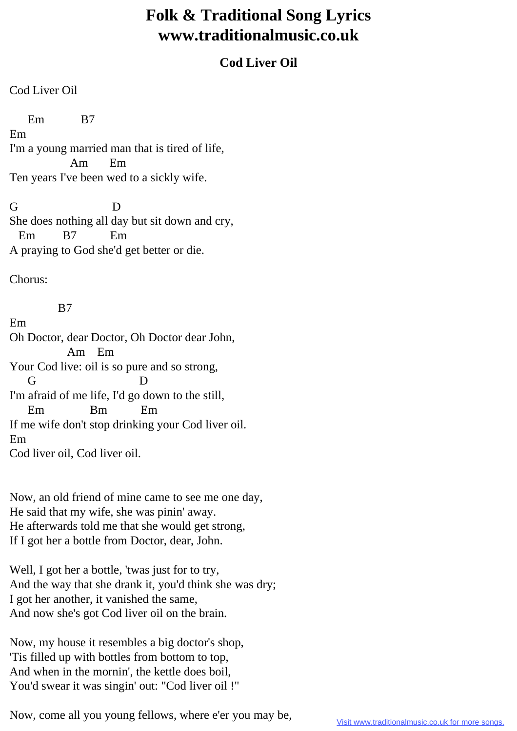## **Folk & Traditional Song Lyrics www.traditionalmusic.co.uk**

## **Cod Liver Oil**

Cod Liver Oil

 Em B7 Em I'm a young married man that is tired of life, Am Em Ten years I've been wed to a sickly wife.

G D She does nothing all day but sit down and cry, Em B7 Em A praying to God she'd get better or die.

Chorus:

Em

B7

Oh Doctor, dear Doctor, Oh Doctor dear John, Am Em Your Cod live: oil is so pure and so strong, G D I'm afraid of me life, I'd go down to the still, Em Bm Em If me wife don't stop drinking your Cod liver oil. Em Cod liver oil, Cod liver oil.

Now, an old friend of mine came to see me one day, He said that my wife, she was pinin' away. He afterwards told me that she would get strong, If I got her a bottle from Doctor, dear, John.

Well, I got her a bottle, 'twas just for to try, And the way that she drank it, you'd think she was dry; I got her another, it vanished the same, And now she's got Cod liver oil on the brain.

Now, my house it resembles a big doctor's shop, 'Tis filled up with bottles from bottom to top, And when in the mornin', the kettle does boil, You'd swear it was singin' out: "Cod liver oil !"

Now, come all you young fellows, where e'er you may be,